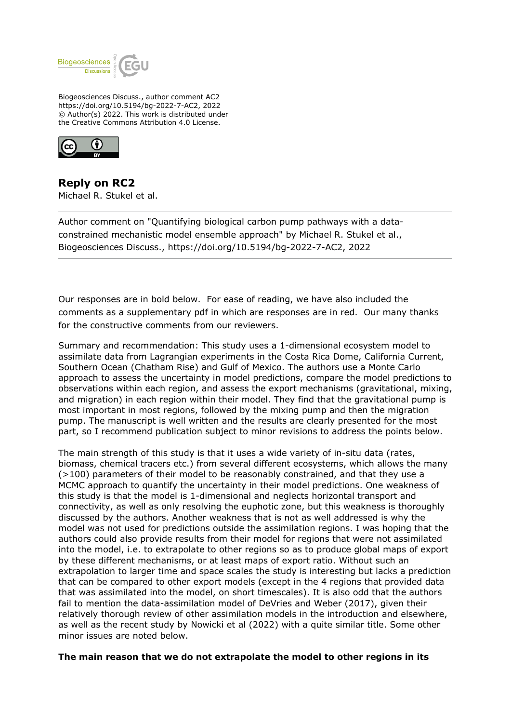

Biogeosciences Discuss., author comment AC2 https://doi.org/10.5194/bg-2022-7-AC2, 2022 © Author(s) 2022. This work is distributed under the Creative Commons Attribution 4.0 License.



**Reply on RC2** Michael R. Stukel et al.

Author comment on "Quantifying biological carbon pump pathways with a dataconstrained mechanistic model ensemble approach" by Michael R. Stukel et al., Biogeosciences Discuss., https://doi.org/10.5194/bg-2022-7-AC2, 2022

Our responses are in bold below. For ease of reading, we have also included the comments as a supplementary pdf in which are responses are in red. Our many thanks for the constructive comments from our reviewers.

Summary and recommendation: This study uses a 1-dimensional ecosystem model to assimilate data from Lagrangian experiments in the Costa Rica Dome, California Current, Southern Ocean (Chatham Rise) and Gulf of Mexico. The authors use a Monte Carlo approach to assess the uncertainty in model predictions, compare the model predictions to observations within each region, and assess the export mechanisms (gravitational, mixing, and migration) in each region within their model. They find that the gravitational pump is most important in most regions, followed by the mixing pump and then the migration pump. The manuscript is well written and the results are clearly presented for the most part, so I recommend publication subject to minor revisions to address the points below.

The main strength of this study is that it uses a wide variety of in-situ data (rates, biomass, chemical tracers etc.) from several different ecosystems, which allows the many  $(>100)$  parameters of their model to be reasonably constrained, and that they use a MCMC approach to quantify the uncertainty in their model predictions. One weakness of this study is that the model is 1-dimensional and neglects horizontal transport and connectivity, as well as only resolving the euphotic zone, but this weakness is thoroughly discussed by the authors. Another weakness that is not as well addressed is why the model was not used for predictions outside the assimilation regions. I was hoping that the authors could also provide results from their model for regions that were not assimilated into the model, i.e. to extrapolate to other regions so as to produce global maps of export by these different mechanisms, or at least maps of export ratio. Without such an extrapolation to larger time and space scales the study is interesting but lacks a prediction that can be compared to other export models (except in the 4 regions that provided data that was assimilated into the model, on short timescales). It is also odd that the authors fail to mention the data-assimilation model of DeVries and Weber (2017), given their relatively thorough review of other assimilation models in the introduction and elsewhere, as well as the recent study by Nowicki et al (2022) with a quite similar title. Some other minor issues are noted below.

### **The main reason that we do not extrapolate the model to other regions in its**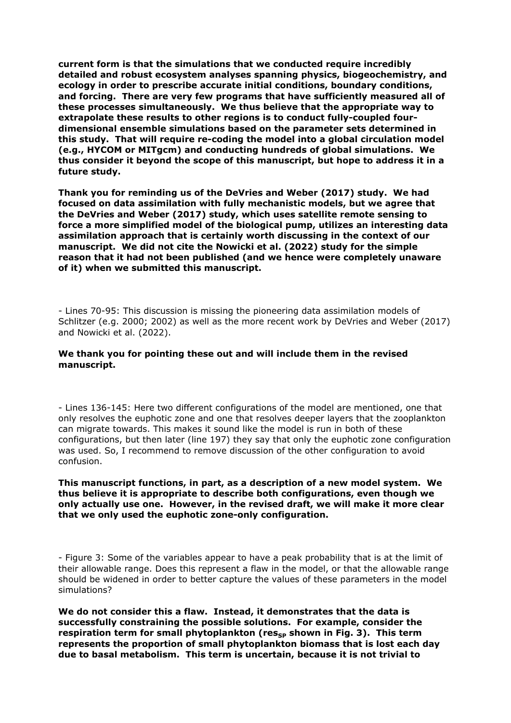**current form is that the simulations that we conducted require incredibly detailed and robust ecosystem analyses spanning physics, biogeochemistry, and ecology in order to prescribe accurate initial conditions, boundary conditions, and forcing. There are very few programs that have sufficiently measured all of these processes simultaneously. We thus believe that the appropriate way to extrapolate these results to other regions is to conduct fully-coupled fourdimensional ensemble simulations based on the parameter sets determined in this study. That will require re-coding the model into a global circulation model (e.g., HYCOM or MITgcm) and conducting hundreds of global simulations. We thus consider it beyond the scope of this manuscript, but hope to address it in a future study.**

**Thank you for reminding us of the DeVries and Weber (2017) study. We had focused on data assimilation with fully mechanistic models, but we agree that the DeVries and Weber (2017) study, which uses satellite remote sensing to force a more simplified model of the biological pump, utilizes an interesting data assimilation approach that is certainly worth discussing in the context of our manuscript. We did not cite the Nowicki et al. (2022) study for the simple reason that it had not been published (and we hence were completely unaware of it) when we submitted this manuscript.**

- Lines 70-95: This discussion is missing the pioneering data assimilation models of Schlitzer (e.g. 2000; 2002) as well as the more recent work by DeVries and Weber (2017) and Nowicki et al. (2022).

#### **We thank you for pointing these out and will include them in the revised manuscript.**

- Lines 136-145: Here two different configurations of the model are mentioned, one that only resolves the euphotic zone and one that resolves deeper layers that the zooplankton can migrate towards. This makes it sound like the model is run in both of these configurations, but then later (line 197) they say that only the euphotic zone configuration was used. So, I recommend to remove discussion of the other configuration to avoid confusion.

# **This manuscript functions, in part, as a description of a new model system. We thus believe it is appropriate to describe both configurations, even though we only actually use one. However, in the revised draft, we will make it more clear that we only used the euphotic zone-only configuration.**

- Figure 3: Some of the variables appear to have a peak probability that is at the limit of their allowable range. Does this represent a flaw in the model, or that the allowable range should be widened in order to better capture the values of these parameters in the model simulations?

**We do not consider this a flaw. Instead, it demonstrates that the data is successfully constraining the possible solutions. For example, consider the** respiration term for small phytoplankton (res<sub>sp</sub> shown in Fig. 3). This term **represents the proportion of small phytoplankton biomass that is lost each day due to basal metabolism. This term is uncertain, because it is not trivial to**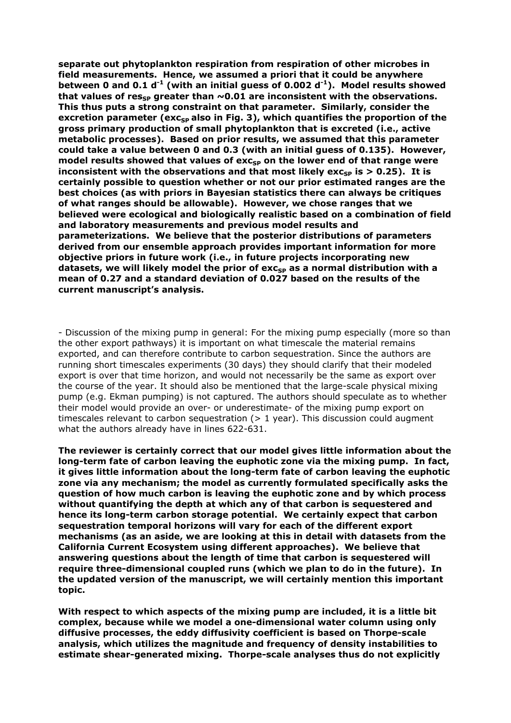**separate out phytoplankton respiration from respiration of other microbes in field measurements. Hence, we assumed a priori that it could be anywhere between 0 and 0.1 d-1 (with an initial guess of 0.002 d-1). Model results showed** that values of res<sub>sp</sub> greater than  $\sim$  0.01 are inconsistent with the observations. **This thus puts a strong constraint on that parameter. Similarly, consider the excretion parameter (exc<sub>sp</sub> also in Fig. 3), which quantifies the proportion of the gross primary production of small phytoplankton that is excreted (i.e., active metabolic processes). Based on prior results, we assumed that this parameter could take a value between 0 and 0.3 (with an initial guess of 0.135). However,** model results showed that values of exc<sub>sp</sub> on the lower end of that range were **inconsistent with the observations and that most likely exc<sub>sp</sub> is**  $> 0.25$ **). It is certainly possible to question whether or not our prior estimated ranges are the best choices (as with priors in Bayesian statistics there can always be critiques of what ranges should be allowable). However, we chose ranges that we believed were ecological and biologically realistic based on a combination of field and laboratory measurements and previous model results and parameterizations. We believe that the posterior distributions of parameters derived from our ensemble approach provides important information for more objective priors in future work (i.e., in future projects incorporating new** datasets, we will likely model the prior of exc<sub>sp</sub> as a normal distribution with a **mean of 0.27 and a standard deviation of 0.027 based on the results of the current manuscript's analysis.** 

- Discussion of the mixing pump in general: For the mixing pump especially (more so than the other export pathways) it is important on what timescale the material remains exported, and can therefore contribute to carbon sequestration. Since the authors are running short timescales experiments (30 days) they should clarify that their modeled export is over that time horizon, and would not necessarily be the same as export over the course of the year. It should also be mentioned that the large-scale physical mixing pump (e.g. Ekman pumping) is not captured. The authors should speculate as to whether their model would provide an over- or underestimate- of the mixing pump export on timescales relevant to carbon sequestration  $(> 1$  year). This discussion could augment what the authors already have in lines 622-631.

**The reviewer is certainly correct that our model gives little information about the long-term fate of carbon leaving the euphotic zone via the mixing pump. In fact, it gives little information about the long-term fate of carbon leaving the euphotic zone via any mechanism; the model as currently formulated specifically asks the question of how much carbon is leaving the euphotic zone and by which process without quantifying the depth at which any of that carbon is sequestered and hence its long-term carbon storage potential. We certainly expect that carbon sequestration temporal horizons will vary for each of the different export mechanisms (as an aside, we are looking at this in detail with datasets from the California Current Ecosystem using different approaches). We believe that answering questions about the length of time that carbon is sequestered will require three-dimensional coupled runs (which we plan to do in the future). In the updated version of the manuscript, we will certainly mention this important topic.**

**With respect to which aspects of the mixing pump are included, it is a little bit complex, because while we model a one-dimensional water column using only diffusive processes, the eddy diffusivity coefficient is based on Thorpe-scale analysis, which utilizes the magnitude and frequency of density instabilities to estimate shear-generated mixing. Thorpe-scale analyses thus do not explicitly**